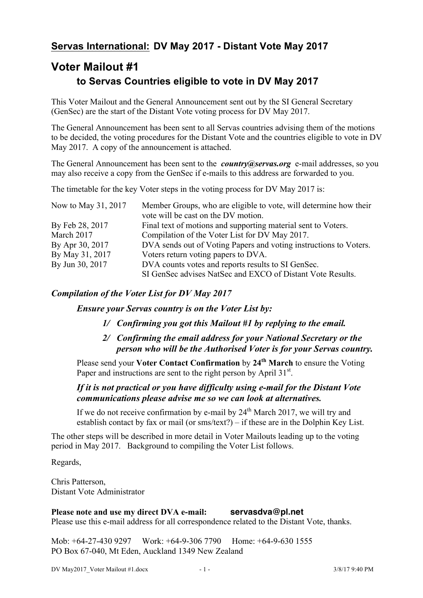## **Servas International: DV May 2017 - Distant Vote May 2017**

# **Voter Mailout #1 to Servas Countries eligible to vote in DV May 2017**

This Voter Mailout and the General Announcement sent out by the SI General Secretary (GenSec) are the start of the Distant Vote voting process for DV May 2017.

The General Announcement has been sent to all Servas countries advising them of the motions to be decided, the voting procedures for the Distant Vote and the countries eligible to vote in DV May 2017. A copy of the announcement is attached.

The General Announcement has been sent to the *country@servas.org* e-mail addresses, so you may also receive a copy from the GenSec if e-mails to this address are forwarded to you.

The timetable for the key Voter steps in the voting process for DV May 2017 is:

| Now to May 31, 2017 | Member Groups, who are eligible to vote, will determine how their<br>vote will be cast on the DV motion. |
|---------------------|----------------------------------------------------------------------------------------------------------|
| By Feb 28, 2017     | Final text of motions and supporting material sent to Voters.                                            |
| March 2017          | Compilation of the Voter List for DV May 2017.                                                           |
| By Apr 30, 2017     | DVA sends out of Voting Papers and voting instructions to Voters.                                        |
| By May 31, 2017     | Voters return voting papers to DVA.                                                                      |
| By Jun 30, 2017     | DVA counts votes and reports results to SI GenSec.                                                       |
|                     | SI GenSec advises NatSec and EXCO of Distant Vote Results.                                               |

### *Compilation of the Voter List for DV May 2017*

*Ensure your Servas country is on the Voter List by:*

- *1/ Confirming you got this Mailout #1 by replying to the email.*
- *2/ Confirming the email address for your National Secretary or the person who will be the Authorised Voter is for your Servas country.*

Please send your **Voter Contact Confirmation** by **24th March** to ensure the Voting Paper and instructions are sent to the right person by April 31<sup>st</sup>.

### *If it is not practical or you have difficulty using e-mail for the Distant Vote communications please advise me so we can look at alternatives.*

If we do not receive confirmation by e-mail by  $24<sup>th</sup>$  March 2017, we will try and establish contact by fax or mail (or sms/text?) – if these are in the Dolphin Key List.

The other steps will be described in more detail in Voter Mailouts leading up to the voting period in May 2017. Background to compiling the Voter List follows.

Regards,

Chris Patterson, Distant Vote Administrator

**Please note and use my direct DVA e-mail: servasdva@pl.net** Please use this e-mail address for all correspondence related to the Distant Vote, thanks.

Mob: +64-27-430 9297 Work: +64-9-306 7790 Home: +64-9-630 1555 PO Box 67-040, Mt Eden, Auckland 1349 New Zealand